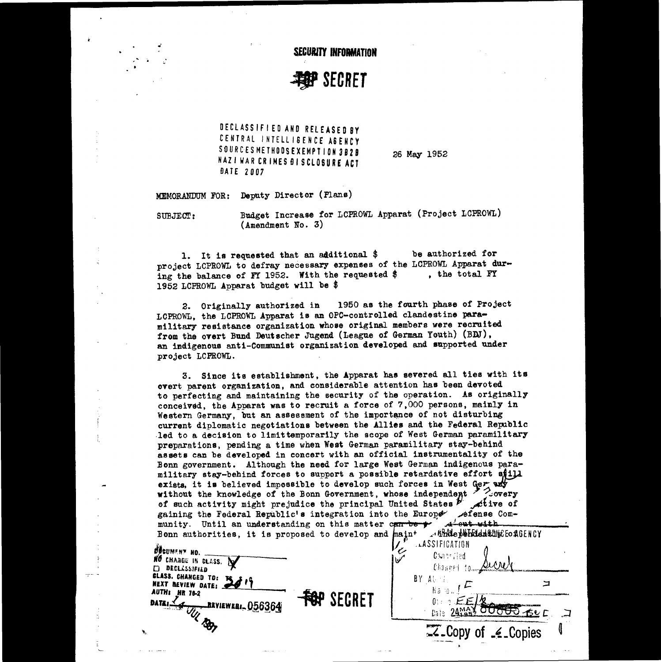**SECURITY INFORMATION** 

## **SECRET**

DECLASSIFIED AND RELEASED BY CENTRAL INTELLIBENCE ABENCY SOURCESMETHODSEXEMPTION 3B2B NAZI WAR CRIMES OI SCLOSURE ACT **DATE 2007** 

26 May 1952

MEMORANDUM FOR: Deputy Director (Flans)

SUBJECT:

**DATE:** 

Budget Increase for LCPROWL Apparat (Project LCPROWL)  $(Amount No. 3)$ 

1. It is requested that an additional \$ be authorized for project LCPROWL to defray necessary expenses of the LCPROWL Apparat during the balance of FY 1952. With the requested \$ , the total FY 1952 LCPROWL Apparat budget will be \$

1950 as the fourth phase of Project 2. Originally authorized in LCPROWL, the LCPROWL Apparat is an OPC-controlled clandestine paramilitary resistance organization whose original members were recruited from the overt Bund Deutscher Jugend (League of German Youth) (BDJ). an indigenous anti-Communist organization developed and supported under project LCFROWL.

3. Since its establishment, the Apparat has severed all ties with its overt parent organization, and considerable attention has been devoted to perfecting and maintaining the security of the operation. As originally conceived, the Apparat was to recruit a force of 7,000 persons, mainly in Western Germany, but an assessment of the importance of not disturbing current diplomatic negotiations between the Allies and the Federal Republic led to a decision to limittemporarily the scope of West German paramilitary preparations, pending a time when West German paramilitary stay-behind assets can be developed in concert with an official instrumentality of the Bonn government. Although the need for large West German indigenous paramilitary stay-behind forces to support a possible retardative effort still exists, it is believed impossible to develop such forces in West Gery any  $\sim$   $\infty$  overy without the knowledge of the Bonn Government, whose independent tive of of such activity might prejudice the principal United States  $P$ gaining the Federal Republic's integration into the Europe / efense Comd<del>'out wit</del>h munity. Until an understanding on this matter can be + ARA HALL AND THE LOAGENCY Bonn authorities, it is proposed to develop and maint VE LASSIFICATION OUCUMENT NO.  $0$ sane Tied

NO CHANGE IN CLASS. گھا ′)≀ Λ Λι **DEGLASSIFIED** Changed to CLASS. CHANGED TO: 75 BY At th  $\Box$ NEXT REVIEW DATE: Nã là L **AUTHI HR 78-2** SECRET  $EF$  $0:$ BEVIEWERI 056364 <del>০০০০</del> কল চ  $24.$  $0318$ Copy of <u></u>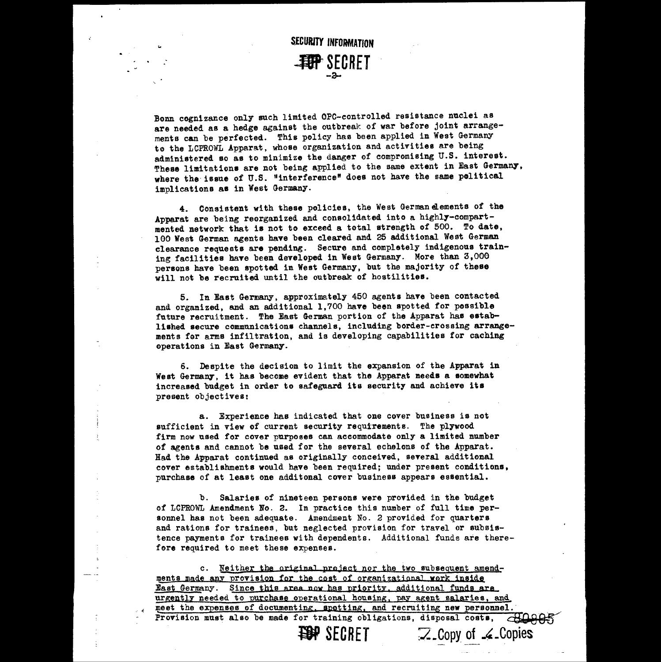**SECURITY INFORMATION** 'SECRET

■-•

Bonn cognizance only such limited OPC-controlled resistance nuclei *as* are needed as a hedge against the outbreak of war before joint arrangements can be perfected. This policy has been applied in West Germany to the LCPROWL Apparat, whose organization and activities are being administered so as to minimize the danger of compromising U.S. interest. These limitations are not being applied to the same extent in East Germany, where the issue of U.S. "interference" does not have the same **political** implications as in West Germany.

4. Consistent with these policies, the West German elements of the Apparat are being reorganized and consolidated into a highly-compartmented network that is not to exceed a total strength of 500. To date, 100 West German agents have been cleared and 25 additional West German clearance requests are pending. Secure and completely indigenous training facilities have been developed in West Germany. More than 3,000 persons have been spotted in West Germany, but the majority of these will not be recruited until the outbreak of hostilities.

5. In East Germany, approximately 450 agents have been contacted and organized, and an additional 1,700 have been spotted for possible future recruitment. The East German portion of the Apparat has established secure communications channels, including border-crossing arrangements for arms infiltration, and is developing capabilities for caching operations in East Germany.

6. Despite the decision to limit the expansion of the Apparat in West Germany, it has become evident that the Apparat needs a somewhat increased budget in order to safeguard its security and achieve its present objectives:

a. Experience has indicated that one cover business is not sufficient in view of current security requirements. The plywood firm now **used for cover purposes can accommodate only** *a* **limited number of** agents and cannot be used for the several echelons of the Apparat. Had the Apparat continued as originally conceived, several additional cover establishments would have been required; under present conditions, purchase of at least one additonal cover business appears essential.

b. Salaries of nineteen persons were provided in the budget of LCPROWL Amendment No. 2. In practice this number of full time personnel *has* not been adequate. Amendment No. 2 provided for quarters and rations for trainees, but neglected provision for travel or subsistence payments for trainees with dependents. Additional funds are therefore required to meet these expenses.

b. Salaries of ninetee<br>of LCPROWL Amendment No. 2. In<br>sommel has not been adequate. A<br>and rations for trainees, but ne<br>tence payments for trainees with<br>fore required to meet these expe<br>ments made any provision for the<br>East c. Neither the original project nor the two subsequent amendments made any provision for the cost of organizational work inside East Germany. Since this area now has priority, additional funds are urgently needed to purchase operational housing, pay agent salaries, and meet the expenses of documenting, spetting, and recruiting new personnel. Provision must also be made for training obligations, disposal costs,  $\overline{a}$ 

 $Z$  Copy of  $\mathcal L$  Copies